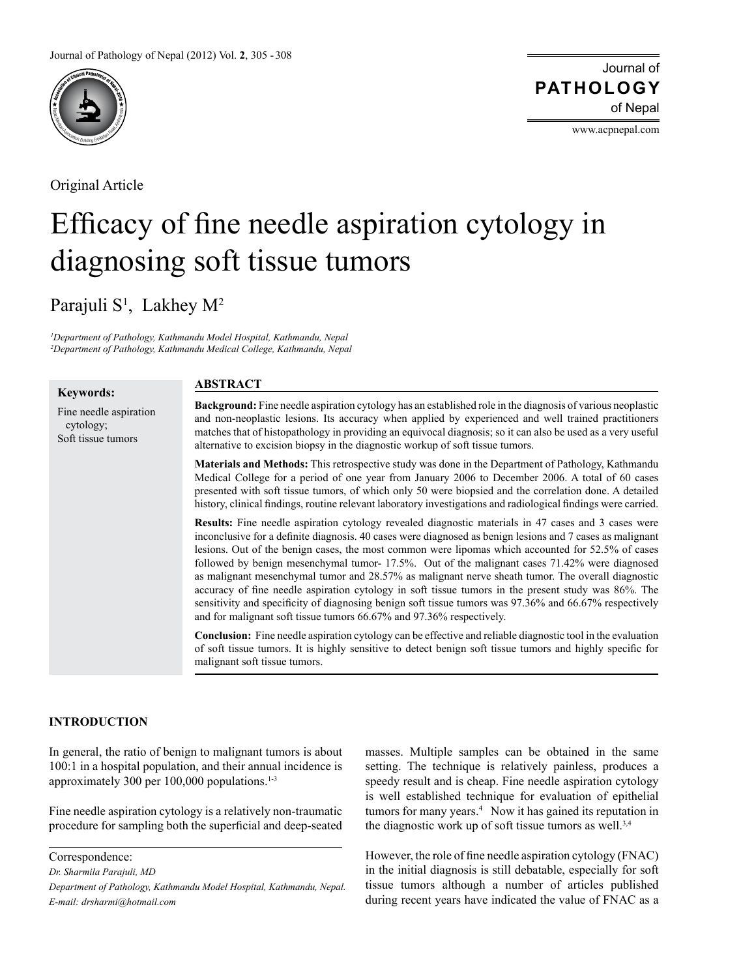

Original Article

Journal of of Nepal **PATHOLOGY**

www.acpnepal.com

# Efficacy of fine needle aspiration cytology in diagnosing soft tissue tumors

Parajuli S<sup>1</sup>, Lakhey M<sup>2</sup>

*1 Department of Pathology, Kathmandu Model Hospital, Kathmandu, Nepal 2 Department of Pathology, Kathmandu Medical College, Kathmandu, Nepal*

#### **Keywords:**

## **ABSTRACT**

Fine needle aspiration cytology; Soft tissue tumors

**Background:** Fine needle aspiration cytology has an established role in the diagnosis of various neoplastic and non-neoplastic lesions. Its accuracy when applied by experienced and well trained practitioners matches that of histopathology in providing an equivocal diagnosis; so it can also be used as a very useful alternative to excision biopsy in the diagnostic workup of soft tissue tumors.

**Materials and Methods:** This retrospective study was done in the Department of Pathology, Kathmandu Medical College for a period of one year from January 2006 to December 2006. A total of 60 cases presented with soft tissue tumors, of which only 50 were biopsied and the correlation done. A detailed history, clinical findings, routine relevant laboratory investigations and radiological findings were carried.

**Results:** Fine needle aspiration cytology revealed diagnostic materials in 47 cases and 3 cases were inconclusive for a definite diagnosis. 40 cases were diagnosed as benign lesions and 7 cases as malignant lesions. Out of the benign cases, the most common were lipomas which accounted for 52.5% of cases followed by benign mesenchymal tumor- 17.5%. Out of the malignant cases 71.42% were diagnosed as malignant mesenchymal tumor and 28.57% as malignant nerve sheath tumor. The overall diagnostic accuracy of fine needle aspiration cytology in soft tissue tumors in the present study was 86%. The sensitivity and specificity of diagnosing benign soft tissue tumors was 97.36% and 66.67% respectively and for malignant soft tissue tumors 66.67% and 97.36% respectively.

**Conclusion:** Fine needle aspiration cytology can be effective and reliable diagnostic tool in the evaluation of soft tissue tumors. It is highly sensitive to detect benign soft tissue tumors and highly specific for malignant soft tissue tumors.

### **INTRODUCTION**

In general, the ratio of benign to malignant tumors is about 100:1 in a hospital population, and their annual incidence is approximately 300 per  $100,000$  populations.<sup>1-3</sup>

Fine needle aspiration cytology is a relatively non-traumatic procedure for sampling both the superficial and deep-seated

Correspondence:

*Dr. Sharmila Parajuli, MD*

masses. Multiple samples can be obtained in the same setting. The technique is relatively painless, produces a speedy result and is cheap. Fine needle aspiration cytology is well established technique for evaluation of epithelial tumors for many years.4 Now it has gained its reputation in the diagnostic work up of soft tissue tumors as well.<sup>3,4</sup>

However, the role of fine needle aspiration cytology (FNAC) in the initial diagnosis is still debatable, especially for soft tissue tumors although a number of articles published during recent years have indicated the value of FNAC as a

*Department of Pathology, Kathmandu Model Hospital, Kathmandu, Nepal. E-mail: drsharmi@hotmail.com*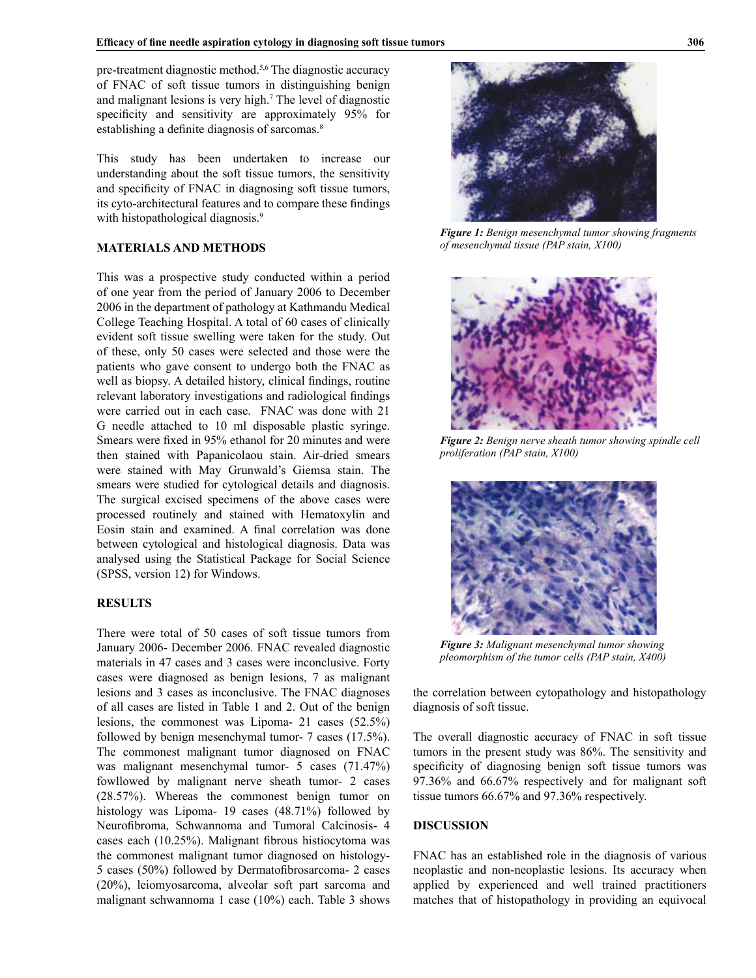pre-treatment diagnostic method.5,6 The diagnostic accuracy of FNAC of soft tissue tumors in distinguishing benign and malignant lesions is very high.7 The level of diagnostic specificity and sensitivity are approximately 95% for establishing a definite diagnosis of sarcomas.<sup>8</sup>

This study has been undertaken to increase our understanding about the soft tissue tumors, the sensitivity and specificity of FNAC in diagnosing soft tissue tumors, its cyto-architectural features and to compare these findings with histopathological diagnosis.<sup>9</sup>

#### **MATERIALS AND METHODS**

This was a prospective study conducted within a period of one year from the period of January 2006 to December 2006 in the department of pathology at Kathmandu Medical College Teaching Hospital. A total of 60 cases of clinically evident soft tissue swelling were taken for the study. Out of these, only 50 cases were selected and those were the patients who gave consent to undergo both the FNAC as well as biopsy. A detailed history, clinical findings, routine relevant laboratory investigations and radiological findings were carried out in each case. FNAC was done with 21 G needle attached to 10 ml disposable plastic syringe. Smears were fixed in 95% ethanol for 20 minutes and were then stained with Papanicolaou stain. Air-dried smears were stained with May Grunwald's Giemsa stain. The smears were studied for cytological details and diagnosis. The surgical excised specimens of the above cases were processed routinely and stained with Hematoxylin and Eosin stain and examined. A final correlation was done between cytological and histological diagnosis. Data was analysed using the Statistical Package for Social Science (SPSS, version 12) for Windows.

#### **RESULTS**

There were total of 50 cases of soft tissue tumors from January 2006- December 2006. FNAC revealed diagnostic materials in 47 cases and 3 cases were inconclusive. Forty cases were diagnosed as benign lesions, 7 as malignant lesions and 3 cases as inconclusive. The FNAC diagnoses of all cases are listed in Table 1 and 2. Out of the benign lesions, the commonest was Lipoma- 21 cases (52.5%) followed by benign mesenchymal tumor- 7 cases (17.5%). The commonest malignant tumor diagnosed on FNAC was malignant mesenchymal tumor- 5 cases (71.47%) fowllowed by malignant nerve sheath tumor- 2 cases (28.57%). Whereas the commonest benign tumor on histology was Lipoma- 19 cases (48.71%) followed by Neurofibroma, Schwannoma and Tumoral Calcinosis- 4 cases each (10.25%). Malignant fibrous histiocytoma was the commonest malignant tumor diagnosed on histology-5 cases (50%) followed by Dermatofibrosarcoma- 2 cases (20%), leiomyosarcoma, alveolar soft part sarcoma and malignant schwannoma 1 case (10%) each. Table 3 shows



*Figure 1: Benign mesenchymal tumor showing fragments of mesenchymal tissue (PAP stain, X100)* 



*Figure 2: Benign nerve sheath tumor showing spindle cell proliferation (PAP stain, X100)*



*Figure 3: Malignant mesenchymal tumor showing pleomorphism of the tumor cells (PAP stain, X400)*

the correlation between cytopathology and histopathology diagnosis of soft tissue.

The overall diagnostic accuracy of FNAC in soft tissue tumors in the present study was 86%. The sensitivity and specificity of diagnosing benign soft tissue tumors was 97.36% and 66.67% respectively and for malignant soft tissue tumors 66.67% and 97.36% respectively.

#### **DISCUSSION**

FNAC has an established role in the diagnosis of various neoplastic and non-neoplastic lesions. Its accuracy when applied by experienced and well trained practitioners matches that of histopathology in providing an equivocal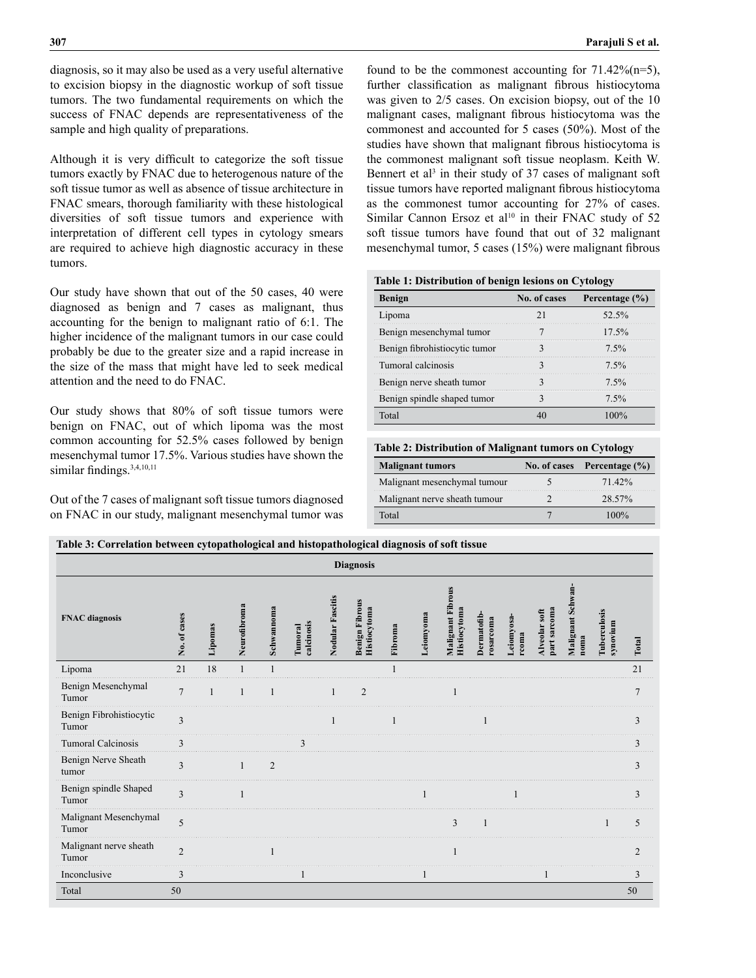diagnosis, so it may also be used as a very useful alternative to excision biopsy in the diagnostic workup of soft tissue tumors. The two fundamental requirements on which the success of FNAC depends are representativeness of the sample and high quality of preparations.

Although it is very difficult to categorize the soft tissue tumors exactly by FNAC due to heterogenous nature of the soft tissue tumor as well as absence of tissue architecture in FNAC smears, thorough familiarity with these histological diversities of soft tissue tumors and experience with interpretation of different cell types in cytology smears are required to achieve high diagnostic accuracy in these tumors.

Our study have shown that out of the 50 cases, 40 were diagnosed as benign and 7 cases as malignant, thus accounting for the benign to malignant ratio of 6:1. The higher incidence of the malignant tumors in our case could probably be due to the greater size and a rapid increase in the size of the mass that might have led to seek medical attention and the need to do FNAC.

Our study shows that 80% of soft tissue tumors were benign on FNAC, out of which lipoma was the most common accounting for 52.5% cases followed by benign mesenchymal tumor 17.5%. Various studies have shown the similar findings. $3,4,10,11$ 

Out of the 7 cases of malignant soft tissue tumors diagnosed on FNAC in our study, malignant mesenchymal tumor was

found to be the commonest accounting for  $71.42\%$  (n=5), further classification as malignant fibrous histiocytoma was given to 2/5 cases. On excision biopsy, out of the 10 malignant cases, malignant fibrous histiocytoma was the commonest and accounted for 5 cases (50%). Most of the studies have shown that malignant fibrous histiocytoma is the commonest malignant soft tissue neoplasm. Keith W. Bennert et al<sup>3</sup> in their study of 37 cases of malignant soft tissue tumors have reported malignant fibrous histiocytoma as the commonest tumor accounting for 27% of cases. Similar Cannon Ersoz et al<sup>10</sup> in their FNAC study of 52 soft tissue tumors have found that out of 32 malignant mesenchymal tumor, 5 cases (15%) were malignant fibrous

#### **Table 1: Distribution of benign lesions on Cytology**

| <b>Benign</b>                 | No. of cases | Percentage $(\% )$ |
|-------------------------------|--------------|--------------------|
| Lipoma                        |              | 52.5%              |
| Benign mesenchymal tumor      |              | $17.5\%$           |
| Benign fibrohistiocytic tumor |              | $7.5\%$            |
| Tumoral calcinosis            |              | $7.5\%$            |
| Benign nerve sheath tumor     |              | $7.5\%$            |
| Benign spindle shaped tumor   |              | 7.5%               |
|                               |              |                    |

#### **Table 2: Distribution of Malignant tumors on Cytology**

| <b>Malignant tumors</b>       | No. of cases Percentage $(\% )$ |
|-------------------------------|---------------------------------|
| Malignant mesenchymal tumour  | 71.42%                          |
| Malignant nerve sheath tumour | 28.57%                          |
| Total                         | 100%                            |

**Table 3: Correlation between cytopathological and histopathological diagnosis of soft tissue**

| ິ<br><b>Diagnosis</b>            |                |         |              |                        |                              |                  |                                       |         |              |                                   |                                |                     |                               |                           |                          |                |
|----------------------------------|----------------|---------|--------------|------------------------|------------------------------|------------------|---------------------------------------|---------|--------------|-----------------------------------|--------------------------------|---------------------|-------------------------------|---------------------------|--------------------------|----------------|
| <b>FNAC</b> diagnosis            | No. of cases   | Lipomas | Neurofibroma | $\approx$<br>Schwannom | calcinosis<br><b>Tumoral</b> | Nodular Fascitis | <b>Benign Fibrous</b><br>Histiocytoma | Fibroma | Leiomyoma    | Malignant Fibrous<br>Histiocytoma | <b>Dermatofib</b><br>rosarcoma | Leiomyosa-<br>rcoma | part sarcoma<br>Alveolar soft | Malignant Schwan-<br>noma | Tuberculosis<br>synovium | Total          |
| Lipoma                           | 21             | 18      |              |                        |                              |                  |                                       |         |              |                                   |                                |                     |                               |                           |                          | 21             |
| Benign Mesenchymal<br>Tumor      | $\overline{7}$ | 1       | $\mathbf{1}$ | 1                      |                              | $\mathbf{1}$     | $\overline{2}$                        |         |              | 1                                 |                                |                     |                               |                           |                          | $\overline{7}$ |
| Benign Fibrohistiocytic<br>Tumor | 3              |         |              |                        |                              |                  |                                       | 1       |              |                                   | $\mathbf{1}$                   |                     |                               |                           |                          | 3              |
| <b>Tumoral Calcinosis</b>        | 3              |         |              |                        | 3                            |                  |                                       |         |              |                                   |                                |                     |                               |                           |                          | $\mathbf{3}$   |
| Benign Nerve Sheath<br>tumor     | 3              |         | $\mathbf{1}$ | $\overline{2}$         |                              |                  |                                       |         |              |                                   |                                |                     |                               |                           |                          | 3              |
| Benign spindle Shaped<br>Tumor   | 3              |         |              |                        |                              |                  |                                       |         | $\mathbf{1}$ |                                   |                                | $\mathbf{1}$        |                               |                           |                          | 3              |
| Malignant Mesenchymal<br>Tumor   | 5              |         |              |                        |                              |                  |                                       |         |              | $\overline{3}$                    | $\overline{1}$                 |                     |                               |                           |                          | 5              |
| Malignant nerve sheath<br>Tumor  | $\overline{2}$ |         |              | $\mathbf{1}$           |                              |                  |                                       |         |              |                                   |                                |                     |                               |                           |                          | $\overline{2}$ |
| Inconclusive                     | 3              |         |              |                        |                              |                  |                                       |         |              |                                   |                                |                     |                               |                           |                          | 3              |
| Total                            | 50             |         |              |                        |                              |                  |                                       |         |              |                                   |                                |                     |                               |                           |                          | 50             |